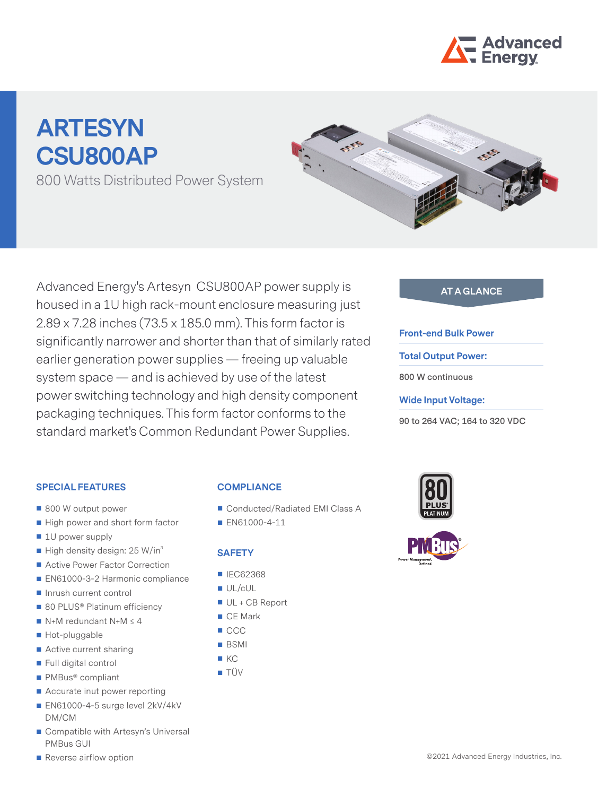

# **ARTESYN CSU800AP**

800 Watts Distributed Power System



Advanced Energy's Artesyn CSU800AP power supply is **AT A GLANCE** housed in a 1U high rack-mount enclosure measuring just 2.89 x 7.28 inches (73.5 x 185.0 mm). This form factor is significantly narrower and shorter than that of similarly rated earlier generation power supplies — freeing up valuable system space — and is achieved by use of the latest power switching technology and high density component packaging techniques. This form factor conforms to the standard market's Common Redundant Power Supplies.

#### **Front-end Bulk Power**

**Total Output Power:**

**800 W continuous** 

#### **Wide Input Voltage:**

**90 to 264 VAC; 164 to 320 VDC**

#### **SPECIAL FEATURES**

- 800 W output power
- High power and short form factor
- 1U power supply
- $\blacksquare$  High density design: 25 W/in<sup>3</sup>
- Active Power Factor Correction
- EN61000-3-2 Harmonic compliance
- Inrush current control
- 80 PLUS<sup>®</sup> Platinum efficiency
- $N+M$  redundant N+M  $\leq$  4
- Hot-pluggable
- Active current sharing
- Full digital control
- PMBus<sup>®</sup> compliant
- Accurate inut power reporting
- EN61000-4-5 surge level 2kV/4kV DM/CM
- Compatible with Artesyn's Universal PMBus GUI

## Reverse airflow option

#### **COMPLIANCE**

- Conducted/Radiated EMI Class A
- **EN61000-4-11**

#### **SAFETY**

- IEC62368
- UL/cUL
- UL + CB Report
- CF Mark
- CCC
- BSMI
- $K$
- **TÜV**

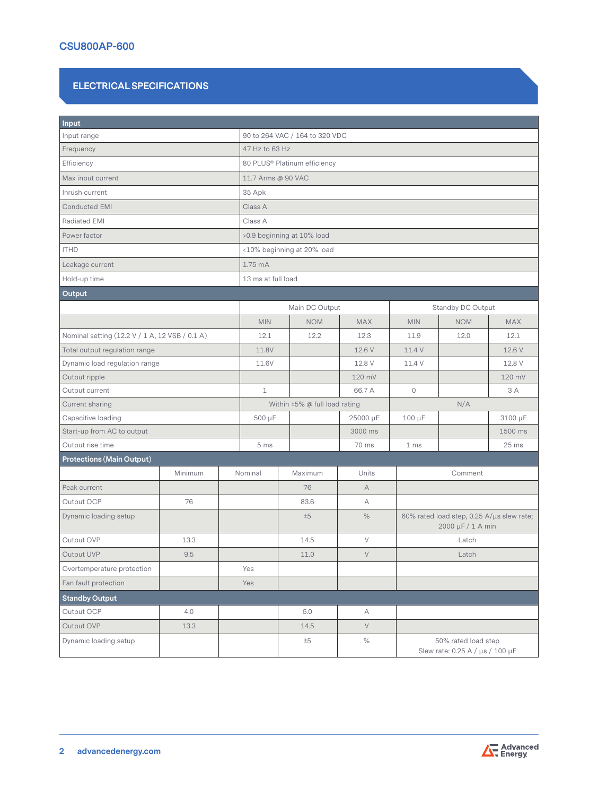#### **ELECTRICAL SPECIFICATIONS**

| Input                                          |         |  |                                |                               |            |                                                                |            |            |  |  |
|------------------------------------------------|---------|--|--------------------------------|-------------------------------|------------|----------------------------------------------------------------|------------|------------|--|--|
| Input range                                    |         |  | 90 to 264 VAC / 164 to 320 VDC |                               |            |                                                                |            |            |  |  |
| Frequency                                      |         |  | 47 Hz to 63 Hz                 |                               |            |                                                                |            |            |  |  |
| Efficiency                                     |         |  | 80 PLUS® Platinum efficiency   |                               |            |                                                                |            |            |  |  |
| Max input current                              |         |  | 11.7 Arms @ 90 VAC             |                               |            |                                                                |            |            |  |  |
| Inrush current                                 |         |  | 35 Apk                         |                               |            |                                                                |            |            |  |  |
| Conducted EMI                                  |         |  | Class A                        |                               |            |                                                                |            |            |  |  |
| Radiated EMI                                   |         |  | Class A                        |                               |            |                                                                |            |            |  |  |
| Power factor                                   |         |  | >0.9 beginning at 10% load     |                               |            |                                                                |            |            |  |  |
| <b>ITHD</b>                                    |         |  | <10% beginning at 20% load     |                               |            |                                                                |            |            |  |  |
| Leakage current                                |         |  | 1.75 mA                        |                               |            |                                                                |            |            |  |  |
| Hold-up time                                   |         |  | 13 ms at full load             |                               |            |                                                                |            |            |  |  |
| Output                                         |         |  |                                |                               |            |                                                                |            |            |  |  |
|                                                |         |  |                                | Main DC Output                |            | Standby DC Output                                              |            |            |  |  |
|                                                |         |  | <b>MIN</b>                     | <b>NOM</b>                    | <b>MAX</b> | <b>MIN</b>                                                     | <b>NOM</b> | <b>MAX</b> |  |  |
| Nominal setting (12.2 V / 1 A, 12 VSB / 0.1 A) |         |  | 12.1                           | 12.2                          | 12.3       | 11.9                                                           | 12.0       | 12.1       |  |  |
| Total output regulation range                  |         |  | 11.8V                          |                               | 12.6 V     | 11.4 V                                                         |            | 12.6 V     |  |  |
| Dynamic load regulation range                  |         |  | 11.6V                          |                               | 12.8 V     | 11.4 V                                                         |            | 12.8 V     |  |  |
| Output ripple                                  |         |  |                                |                               | 120 mV     |                                                                |            | 120 mV     |  |  |
| Output current                                 |         |  | $\mathbf{1}$                   |                               | 66.7 A     | $\circ$                                                        |            | 3 A        |  |  |
| Current sharing                                |         |  |                                | Within ±5% @ full load rating |            | N/A                                                            |            |            |  |  |
| Capacitive loading                             |         |  | 500 µF                         |                               | 25000 µF   | 100 µF                                                         |            | 3100 µF    |  |  |
| Start-up from AC to output                     |         |  |                                |                               | 3000 ms    |                                                                |            | 1500 ms    |  |  |
| Output rise time                               |         |  | 5 ms                           |                               | 70 ms      | 1 <sub>ms</sub>                                                |            | 25 ms      |  |  |
| <b>Protections (Main Output)</b>               |         |  |                                |                               |            |                                                                |            |            |  |  |
|                                                | Minimum |  | Nominal                        | Maximum                       | Units      |                                                                | Comment    |            |  |  |
| Peak current                                   |         |  |                                | 76                            | A          |                                                                |            |            |  |  |
| Output OCP                                     | 76      |  |                                | 83.6                          | А          |                                                                |            |            |  |  |
| Dynamic loading setup                          |         |  |                                | ±5                            | $\%$       | 60% rated load step, 0.25 A/µs slew rate;<br>2000 µF / 1 A min |            |            |  |  |
| Output OVP                                     | 13.3    |  |                                | 14.5                          | $\vee$     | Latch                                                          |            |            |  |  |
| Output UVP                                     | 9.5     |  |                                | 11.0                          | V          | Latch                                                          |            |            |  |  |
| Overtemperature protection                     |         |  | Yes                            |                               |            |                                                                |            |            |  |  |
| Fan fault protection                           |         |  | Yes                            |                               |            |                                                                |            |            |  |  |
| <b>Standby Output</b>                          |         |  |                                |                               |            |                                                                |            |            |  |  |
| Output OCP                                     | 4.0     |  |                                | 5.0                           | A          |                                                                |            |            |  |  |
| Output OVP                                     | 13.3    |  |                                | 14.5                          | $\vee$     |                                                                |            |            |  |  |
| Dynamic loading setup                          |         |  |                                | ±5                            | $\%$       | 50% rated load step<br>Slew rate: 0.25 A / µs / 100 µF         |            |            |  |  |

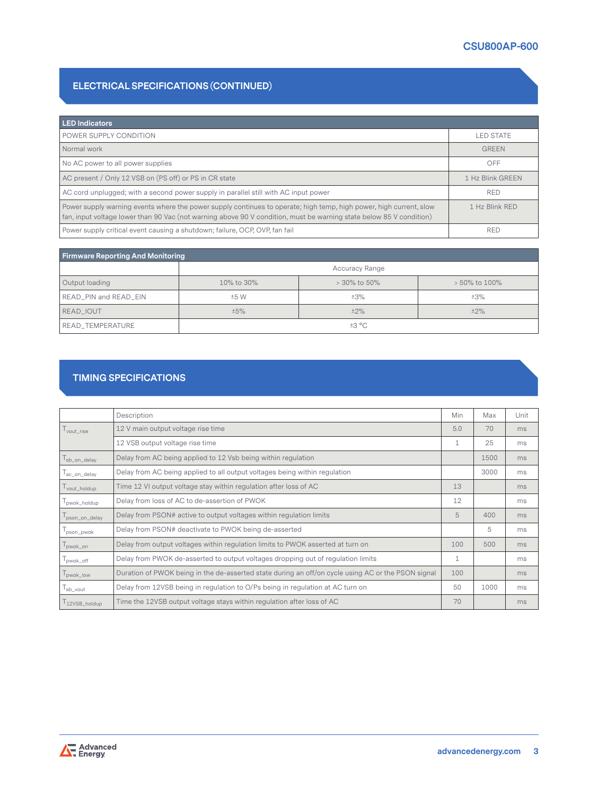### **ELECTRICAL SPECIFICATIONS (CONTINUED)**

| <b>LED Indicators</b>                                                                                                                                                                                                                     |                  |
|-------------------------------------------------------------------------------------------------------------------------------------------------------------------------------------------------------------------------------------------|------------------|
| POWER SUPPLY CONDITION                                                                                                                                                                                                                    | <b>LED STATE</b> |
| Normal work                                                                                                                                                                                                                               | <b>GREEN</b>     |
| No AC power to all power supplies                                                                                                                                                                                                         | OFF              |
| AC present / Only 12 VSB on (PS off) or PS in CR state                                                                                                                                                                                    | 1 Hz Blink GREEN |
| AC cord unplugged; with a second power supply in parallel still with AC input power                                                                                                                                                       | <b>RED</b>       |
| Power supply warning events where the power supply continues to operate; high temp, high power, high current, slow<br>fan, input voltage lower than 90 Vac (not warning above 90 V condition, must be warning state below 85 V condition) | 1 Hz Blink RED   |
| Power supply critical event causing a shutdown; failure, OCP, OVP, fan fail                                                                                                                                                               | <b>RED</b>       |

| <b>Firmware Reporting And Monitoring</b> |                       |              |               |  |  |  |
|------------------------------------------|-----------------------|--------------|---------------|--|--|--|
|                                          | <b>Accuracy Range</b> |              |               |  |  |  |
| Output loading                           | 10% to 30%            | > 30% to 50% | > 50% to 100% |  |  |  |
| READ_PIN and READ_EIN                    | ±5 W                  | ±3%          | ±3%           |  |  |  |
| READ IOUT                                | ±5%                   | $±2\%$       | $±2\%$        |  |  |  |
| READ_TEMPERATURE                         | ±3 °C                 |              |               |  |  |  |

#### **TIMING SPECIFICATIONS**

|               | Description                                                                                        | Min | Max  | Unit |
|---------------|----------------------------------------------------------------------------------------------------|-----|------|------|
| vout rise     | 12 V main output voltage rise time                                                                 | 5.0 | 70   | ms   |
|               | 12 VSB output voltage rise time                                                                    | 1   | 25   | ms   |
| sb_on_delay   | Delay from AC being applied to 12 Vsb being within regulation                                      |     | 1500 | ms   |
| ac_on_delay   | Delay from AC being applied to all output voltages being within regulation                         |     | 3000 | ms   |
| vout_holdup   | Time 12 VI output voltage stay within regulation after loss of AC                                  | 13  |      | ms   |
| pwok_holdup   | Delay from loss of AC to de-assertion of PWOK                                                      | 12  |      | ms   |
| pson_on_delay | Delay from PSON# active to output voltages within regulation limits                                | 5   | 400  | ms   |
| pson_pwok     | Delay from PSON# deactivate to PWOK being de-asserted                                              |     | 5    | ms   |
| pwok_on       | Delay from output voltages within regulation limits to PWOK asserted at turn on                    | 100 | 500  | ms   |
| pwok_off      | Delay from PWOK de-asserted to output voltages dropping out of regulation limits                   | 1   |      | ms   |
| pwok_low      | Duration of PWOK being in the de-asserted state during an off/on cycle using AC or the PSON signal | 100 |      | ms   |
| sb_vout       | Delay from 12VSB being in regulation to O/Ps being in regulation at AC turn on                     | 50  | 1000 | ms   |
| 12VSB_holdup  | Time the 12VSB output voltage stays within regulation after loss of AC                             | 70  |      | ms   |

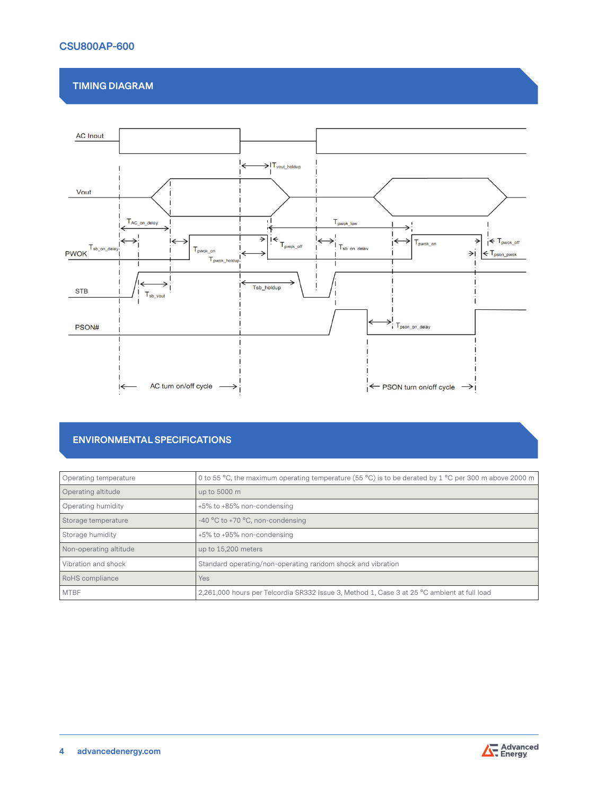### **CSU800AP-600**

#### **TIMING DIAGRAM**



#### **ENVIRONMENTAL SPECIFICATIONS**

| Operating temperature  | 0 to 55 °C, the maximum operating temperature (55 °C) is to be derated by 1 °C per 300 m above 2000 m |
|------------------------|-------------------------------------------------------------------------------------------------------|
| Operating altitude     | up to 5000 m                                                                                          |
| Operating humidity     | +5% to +85% non-condensing                                                                            |
| Storage temperature    | -40 $^{\circ}$ C to +70 $^{\circ}$ C, non-condensing                                                  |
| Storage humidity       | +5% to +95% non-condensing                                                                            |
| Non-operating altitude | up to 15,200 meters                                                                                   |
| Vibration and shock    | Standard operating/non-operating random shock and vibration                                           |
| RoHS compliance        | Yes                                                                                                   |
| <b>MTBF</b>            | 2,261,000 hours per Telcordia SR332 Issue 3, Method 1, Case 3 at 25 °C ambient at full load           |

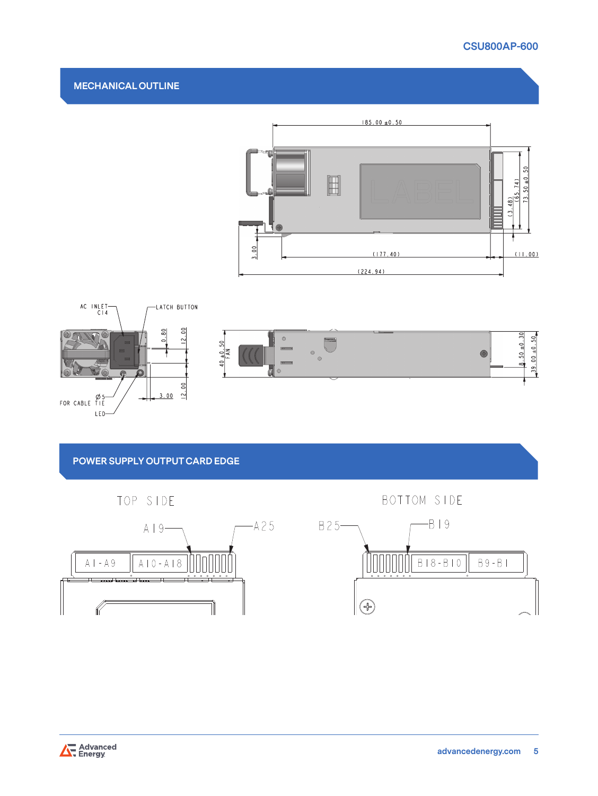# **CSU800AP-600**

#### **MECHANICAL OUTLINE**





# **POWER SUPPLY OUTPUT CARD EDGE**







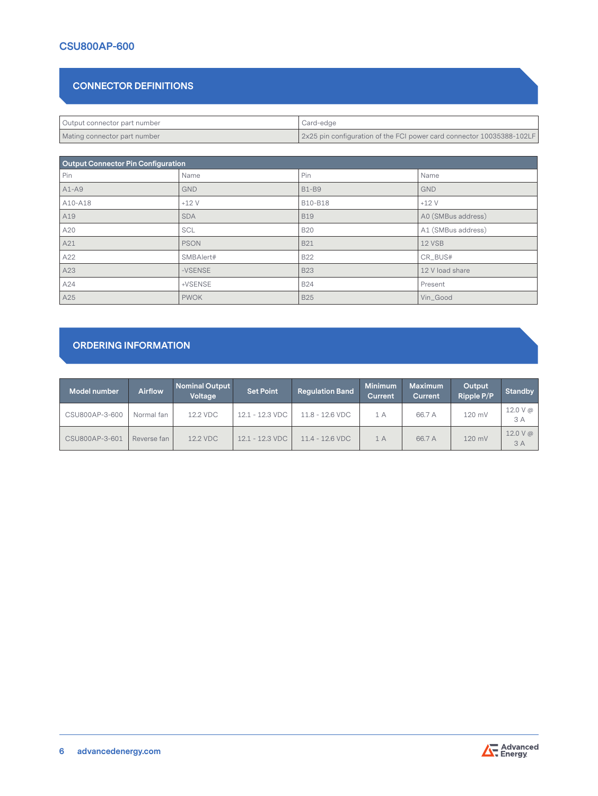#### **CSU800AP-600**

#### **CONNECTOR DEFINITIONS**

| Output connector part number | Card-edge                                                             |
|------------------------------|-----------------------------------------------------------------------|
| Mating connector part number | 2x25 pin configuration of the FCI power card connector 10035388-102LF |

| Output Connector Pin Configuration |             |              |                    |  |  |  |
|------------------------------------|-------------|--------------|--------------------|--|--|--|
| Pin                                | Name        | Pin          | Name               |  |  |  |
| $A1-A9$                            | <b>GND</b>  | <b>B1-B9</b> | <b>GND</b>         |  |  |  |
| A10-A18                            | $+12V$      | B10-B18      | $+12V$             |  |  |  |
| A19                                | <b>SDA</b>  | <b>B19</b>   | A0 (SMBus address) |  |  |  |
| A20                                | SCL         | <b>B20</b>   | A1 (SMBus address) |  |  |  |
| A21                                | <b>PSON</b> | <b>B21</b>   | 12 VSB             |  |  |  |
| A22                                | SMBAlert#   | <b>B22</b>   | CR_BUS#            |  |  |  |
| A23                                | -VSENSE     | <b>B23</b>   | 12 V load share    |  |  |  |
| A24                                | +VSENSE     | <b>B24</b>   | Present            |  |  |  |
| A25                                | <b>PWOK</b> | <b>B25</b>   | Vin_Good           |  |  |  |

#### **ORDERING INFORMATION**

| Model number   | <b>Airflow</b> | Nominal Output<br>Voltage | <b>Set Point</b>          | <b>Regulation Band</b> | <b>Minimum</b><br><b>Current</b> | <b>Maximum</b><br>Current | Output<br><b>Ripple P/P</b> | <b>Standby</b>                     |
|----------------|----------------|---------------------------|---------------------------|------------------------|----------------------------------|---------------------------|-----------------------------|------------------------------------|
| CSU800AP-3-600 | Normal fan     | 12.2 VDC                  | 12.1 - 12.3 VDC           | $11.8 - 12.6$ VDC      | 1 A                              | 66.7 A                    | 120 mV                      | 12.0 V @<br>3 A                    |
| CSU800AP-3-601 | Reverse fan    | 12.2 VDC                  | $12.1 - 12.3 \text{ VDC}$ | $11.4 - 12.6$ VDC      | 1A                               | 66.7 A                    | 120 mV                      | $12.0 V \, \textcircled{a}$<br>3 A |